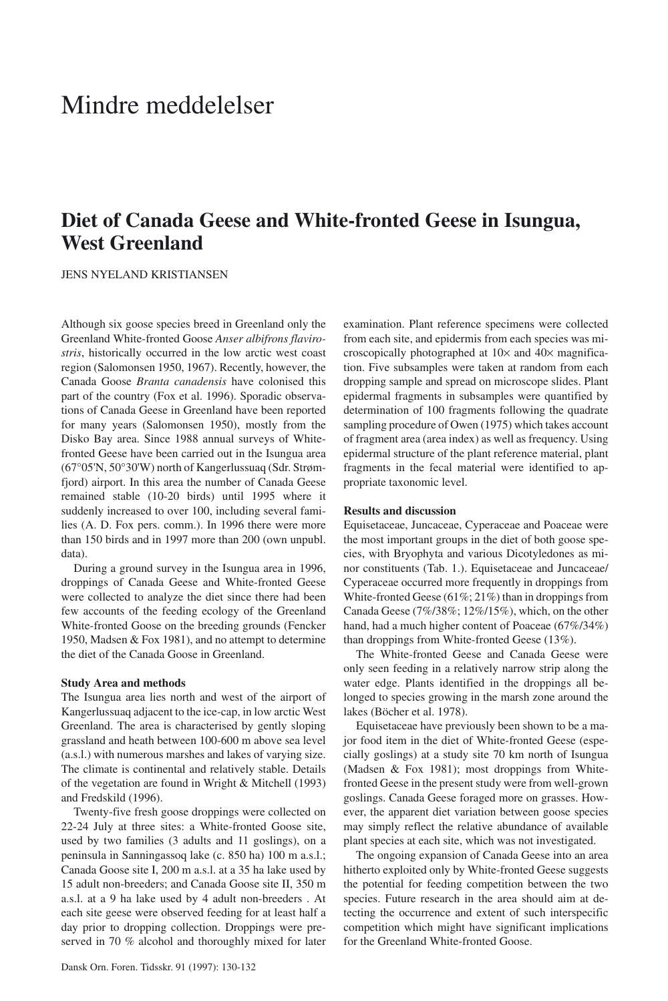# Mindre meddelelser

# **Diet of Canada Geese and White-fronted Geese in Isungua, West Greenland**

JENS NYELAND KRISTIANSEN

Although six goose species breed in Greenland only the Greenland White-fronted Goose *Anser albifrons flavirostris*, historically occurred in the low arctic west coast region (Salomonsen 1950, 1967). Recently, however, the Canada Goose *Branta canadensis* have colonised this part of the country (Fox et al. 1996). Sporadic observations of Canada Geese in Greenland have been reported for many years (Salomonsen 1950), mostly from the Disko Bay area. Since 1988 annual surveys of Whitefronted Geese have been carried out in the Isungua area (67°05'N, 50°30'W) north of Kangerlussuaq (Sdr. Strømfjord) airport. In this area the number of Canada Geese remained stable (10-20 birds) until 1995 where it suddenly increased to over 100, including several families (A. D. Fox pers. comm.). In 1996 there were more than 150 birds and in 1997 more than 200 (own unpubl. data).

During a ground survey in the Isungua area in 1996, droppings of Canada Geese and White-fronted Geese were collected to analyze the diet since there had been few accounts of the feeding ecology of the Greenland White-fronted Goose on the breeding grounds (Fencker 1950, Madsen & Fox 1981), and no attempt to determine the diet of the Canada Goose in Greenland.

### **Study Area and methods**

The Isungua area lies north and west of the airport of Kangerlussuaq adjacent to the ice-cap, in low arctic West Greenland. The area is characterised by gently sloping grassland and heath between 100-600 m above sea level (a.s.l.) with numerous marshes and lakes of varying size. The climate is continental and relatively stable. Details of the vegetation are found in Wright & Mitchell (1993) and Fredskild (1996).

Twenty-five fresh goose droppings were collected on 22-24 July at three sites: a White-fronted Goose site, used by two families (3 adults and 11 goslings), on a peninsula in Sanningassoq lake (c. 850 ha) 100 m a.s.l.; Canada Goose site I, 200 m a.s.l. at a 35 ha lake used by 15 adult non-breeders; and Canada Goose site II, 350 m a.s.l. at a 9 ha lake used by 4 adult non-breeders . At each site geese were observed feeding for at least half a day prior to dropping collection. Droppings were preserved in 70 % alcohol and thoroughly mixed for later from each site, and epidermis from each species was microscopically photographed at 10× and 40× magnification. Five subsamples were taken at random from each dropping sample and spread on microscope slides. Plant epidermal fragments in subsamples were quantified by determination of 100 fragments following the quadrate sampling procedure of Owen (1975) which takes account of fragment area (area index) as well as frequency. Using epidermal structure of the plant reference material, plant fragments in the fecal material were identified to appropriate taxonomic level.

examination. Plant reference specimens were collected

# **Results and discussion**

Equisetaceae, Juncaceae, Cyperaceae and Poaceae were the most important groups in the diet of both goose species, with Bryophyta and various Dicotyledones as minor constituents (Tab. 1.). Equisetaceae and Juncaceae/ Cyperaceae occurred more frequently in droppings from White-fronted Geese (61%; 21%) than in droppings from Canada Geese (7%/38%; 12%/15%), which, on the other hand, had a much higher content of Poaceae (67%/34%) than droppings from White-fronted Geese (13%).

The White-fronted Geese and Canada Geese were only seen feeding in a relatively narrow strip along the water edge. Plants identified in the droppings all belonged to species growing in the marsh zone around the lakes (Böcher et al. 1978).

Equisetaceae have previously been shown to be a major food item in the diet of White-fronted Geese (especially goslings) at a study site 70 km north of Isungua (Madsen & Fox 1981); most droppings from Whitefronted Geese in the present study were from well-grown goslings. Canada Geese foraged more on grasses. However, the apparent diet variation between goose species may simply reflect the relative abundance of available plant species at each site, which was not investigated.

The ongoing expansion of Canada Geese into an area hitherto exploited only by White-fronted Geese suggests the potential for feeding competition between the two species. Future research in the area should aim at detecting the occurrence and extent of such interspecific competition which might have significant implications for the Greenland White-fronted Goose.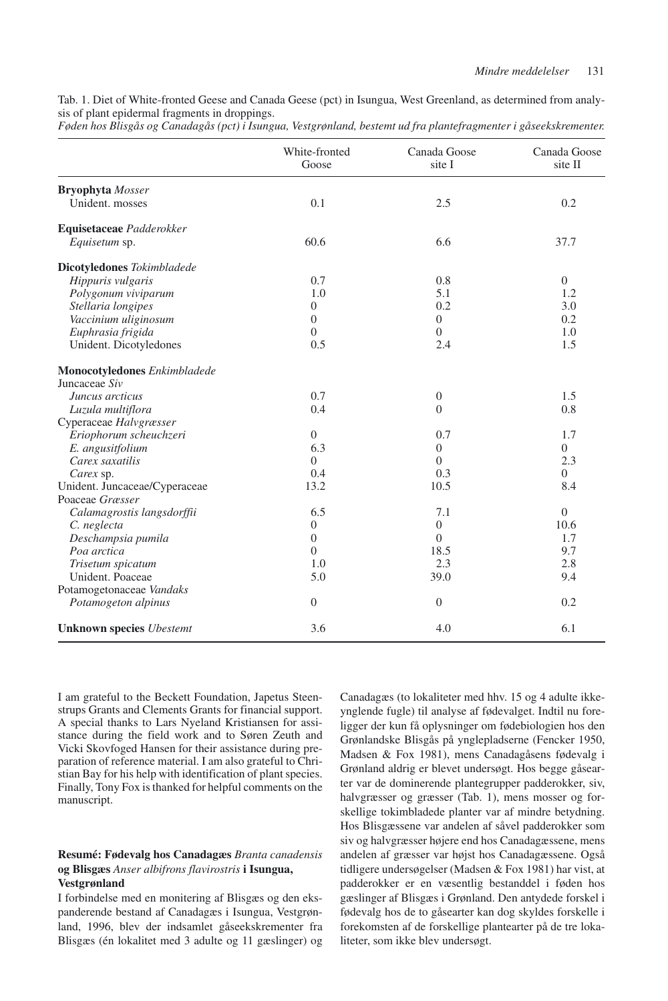Tab. 1. Diet of White-fronted Geese and Canada Geese (pct) in Isungua, West Greenland, as determined from analysis of plant epidermal fragments in droppings.

|  | Føden hos Blisgås og Canadagås (pct) i Isungua, Vestgrønland, bestemt ud fra plantefragmenter i gåseekskrementer. |  |
|--|-------------------------------------------------------------------------------------------------------------------|--|
|--|-------------------------------------------------------------------------------------------------------------------|--|

|                                               | White-fronted<br>Goose | Canada Goose<br>site I | Canada Goose<br>site II |
|-----------------------------------------------|------------------------|------------------------|-------------------------|
| <b>Bryophyta</b> Mosser                       |                        |                        |                         |
| Unident. mosses                               | 0.1                    | 2.5                    | 0.2                     |
| Equisetaceae Padderokker                      |                        |                        |                         |
| Equisetum sp.                                 | 60.6                   | 6.6                    | 37.7                    |
| Dicotyledones Tokimbladede                    |                        |                        |                         |
| Hippuris vulgaris                             | 0.7                    | 0.8                    | $\overline{0}$          |
| Polygonum viviparum                           | 1.0                    | 5.1                    | 1.2                     |
| Stellaria longipes                            | $\overline{0}$         | 0.2                    | 3.0                     |
| Vaccinium uliginosum                          | $\theta$               | $\overline{0}$         | 0.2                     |
| Euphrasia frigida                             | $\Omega$               | $\Omega$               | 1.0                     |
| Unident. Dicotyledones                        | 0.5                    | 2.4                    | 1.5                     |
| Monocotyledones Enkimbladede<br>Juncaceae Siv |                        |                        |                         |
| Juncus arcticus                               | 0.7                    | $\overline{0}$         | 1.5                     |
| Luzula multiflora                             | 0.4                    | $\Omega$               | 0.8                     |
| Cyperaceae Halvgræsser                        |                        |                        |                         |
| Eriophorum scheuchzeri                        | $\overline{0}$         | 0.7                    | 1.7                     |
| E. angusitfolium                              | 6.3                    | $\overline{0}$         | $\Omega$                |
| Carex saxatilis                               | $\Omega$               | $\Omega$               | 2.3                     |
| Carex sp.                                     | 0.4                    | 0.3                    | $\overline{0}$          |
| Unident. Juncaceae/Cyperaceae                 | 13.2                   | 10.5                   | 8.4                     |
| Poaceae Græsser                               |                        |                        |                         |
| Calamagrostis langsdorffii                    | 6.5                    | 7.1                    | $\overline{0}$          |
| C. neglecta                                   | $\boldsymbol{0}$       | $\overline{0}$         | 10.6                    |
| Deschampsia pumila                            | $\overline{0}$         | $\Omega$               | 1.7                     |
| Poa arctica                                   | $\theta$               | 18.5                   | 9.7                     |
| Trisetum spicatum                             | 1.0                    | 2.3                    | 2.8                     |
| Unident, Poaceae                              | 5.0                    | 39.0                   | 9.4                     |
| Potamogetonaceae Vandaks                      |                        |                        |                         |
| Potamogeton alpinus                           | $\theta$               | $\theta$               | 0.2                     |
| <b>Unknown species Ubestemt</b>               | 3.6                    | 4.0                    | 6.1                     |

I am grateful to the Beckett Foundation, Japetus Steenstrups Grants and Clements Grants for financial support. A special thanks to Lars Nyeland Kristiansen for assistance during the field work and to Søren Zeuth and Vicki Skovfoged Hansen for their assistance during preparation of reference material. I am also grateful to Christian Bay for his help with identification of plant species. Finally, Tony Fox is thanked for helpful comments on the manuscript.

## **Resumé: Fødevalg hos Canadagæs** *Branta canadensis* **og Blisgæs** *Anser albifrons flavirostris* **i Isungua, Vestgrønland**

I forbindelse med en monitering af Blisgæs og den ekspanderende bestand af Canadagæs i Isungua, Vestgrønland, 1996, blev der indsamlet gåseekskrementer fra Blisgæs (én lokalitet med 3 adulte og 11 gæslinger) og Canadagæs (to lokaliteter med hhv. 15 og 4 adulte ikkeynglende fugle) til analyse af fødevalget. Indtil nu foreligger der kun få oplysninger om fødebiologien hos den Grønlandske Blisgås på ynglepladserne (Fencker 1950, Madsen & Fox 1981), mens Canadagåsens fødevalg i Grønland aldrig er blevet undersøgt. Hos begge gåsearter var de dominerende plantegrupper padderokker, siv, halvgræsser og græsser (Tab. 1), mens mosser og forskellige tokimbladede planter var af mindre betydning. Hos Blisgæssene var andelen af såvel padderokker som siv og halvgræsser højere end hos Canadagæssene, mens andelen af græsser var højst hos Canadagæssene. Også tidligere undersøgelser (Madsen & Fox 1981) har vist, at padderokker er en væsentlig bestanddel i føden hos gæslinger af Blisgæs i Grønland. Den antydede forskel i fødevalg hos de to gåsearter kan dog skyldes forskelle i forekomsten af de forskellige plantearter på de tre lokaliteter, som ikke blev undersøgt.